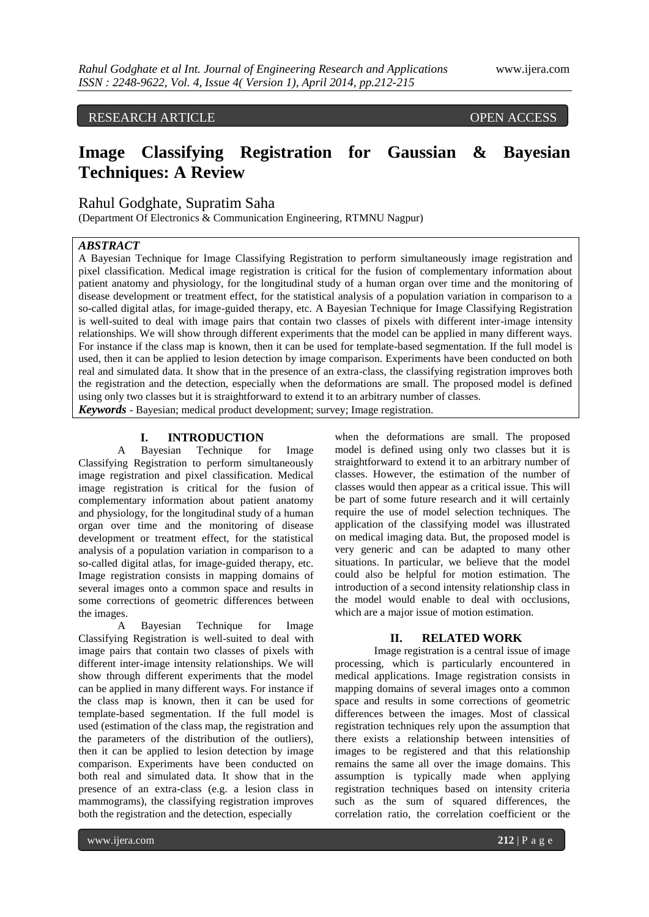RESEARCH ARTICLE OPEN ACCESS

# **Image Classifying Registration for Gaussian & Bayesian Techniques: A Review**

# Rahul Godghate, Supratim Saha

(Department Of Electronics & Communication Engineering, RTMNU Nagpur)

#### *ABSTRACT*

A Bayesian Technique for Image Classifying Registration to perform simultaneously image registration and pixel classification. Medical image registration is critical for the fusion of complementary information about patient anatomy and physiology, for the longitudinal study of a human organ over time and the monitoring of disease development or treatment effect, for the statistical analysis of a population variation in comparison to a so-called digital atlas, for image-guided therapy, etc. A Bayesian Technique for Image Classifying Registration is well-suited to deal with image pairs that contain two classes of pixels with different inter-image intensity relationships. We will show through different experiments that the model can be applied in many different ways. For instance if the class map is known, then it can be used for template-based segmentation. If the full model is used, then it can be applied to lesion detection by image comparison. Experiments have been conducted on both real and simulated data. It show that in the presence of an extra-class, the classifying registration improves both the registration and the detection, especially when the deformations are small. The proposed model is defined using only two classes but it is straightforward to extend it to an arbitrary number of classes.

*Keywords* - Bayesian; medical product development; survey; Image registration.

## **I. INTRODUCTION**

A Bayesian Technique for Image Classifying Registration to perform simultaneously image registration and pixel classification. Medical image registration is critical for the fusion of complementary information about patient anatomy and physiology, for the longitudinal study of a human organ over time and the monitoring of disease development or treatment effect, for the statistical analysis of a population variation in comparison to a so-called digital atlas, for image-guided therapy, etc. Image registration consists in mapping domains of several images onto a common space and results in some corrections of geometric differences between the images.

A Bayesian Technique for Image Classifying Registration is well-suited to deal with image pairs that contain two classes of pixels with different inter-image intensity relationships. We will show through different experiments that the model can be applied in many different ways. For instance if the class map is known, then it can be used for template-based segmentation. If the full model is used (estimation of the class map, the registration and the parameters of the distribution of the outliers), then it can be applied to lesion detection by image comparison. Experiments have been conducted on both real and simulated data. It show that in the presence of an extra-class (e.g. a lesion class in mammograms), the classifying registration improves both the registration and the detection, especially

when the deformations are small. The proposed model is defined using only two classes but it is straightforward to extend it to an arbitrary number of classes. However, the estimation of the number of classes would then appear as a critical issue. This will be part of some future research and it will certainly require the use of model selection techniques. The application of the classifying model was illustrated on medical imaging data. But, the proposed model is very generic and can be adapted to many other situations. In particular, we believe that the model could also be helpful for motion estimation. The introduction of a second intensity relationship class in the model would enable to deal with occlusions, which are a major issue of motion estimation.

#### **II. RELATED WORK**

Image registration is a central issue of image processing, which is particularly encountered in medical applications. Image registration consists in mapping domains of several images onto a common space and results in some corrections of geometric differences between the images. Most of classical registration techniques rely upon the assumption that there exists a relationship between intensities of images to be registered and that this relationship remains the same all over the image domains. This assumption is typically made when applying registration techniques based on intensity criteria such as the sum of squared differences, the correlation ratio, the correlation coefficient or the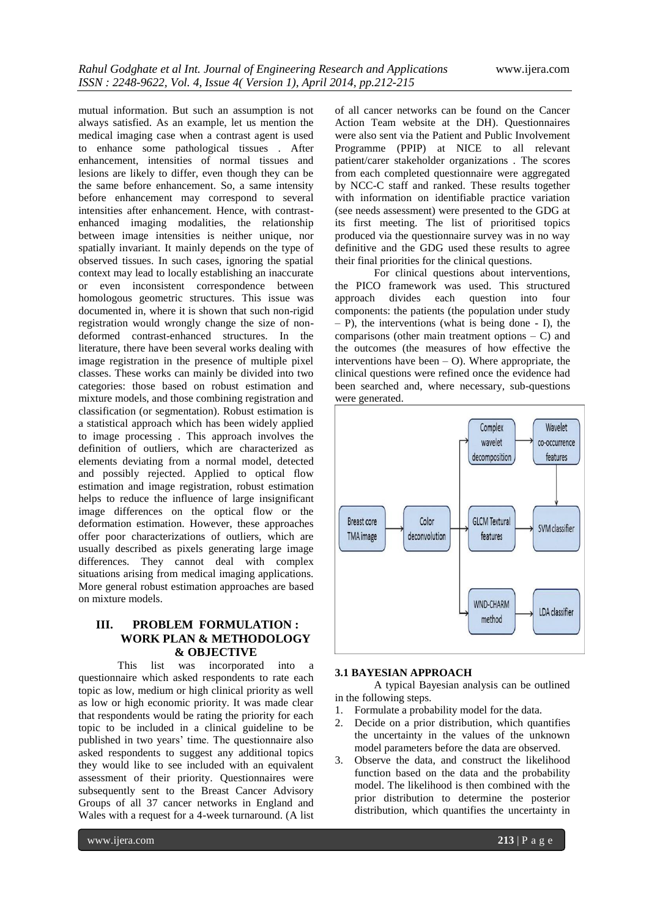mutual information. But such an assumption is not always satisfied. As an example, let us mention the medical imaging case when a contrast agent is used to enhance some pathological tissues . After enhancement, intensities of normal tissues and lesions are likely to differ, even though they can be the same before enhancement. So, a same intensity before enhancement may correspond to several intensities after enhancement. Hence, with contrastenhanced imaging modalities, the relationship between image intensities is neither unique, nor spatially invariant. It mainly depends on the type of observed tissues. In such cases, ignoring the spatial context may lead to locally establishing an inaccurate or even inconsistent correspondence between homologous geometric structures. This issue was documented in, where it is shown that such non-rigid registration would wrongly change the size of nondeformed contrast-enhanced structures. In the literature, there have been several works dealing with image registration in the presence of multiple pixel classes. These works can mainly be divided into two categories: those based on robust estimation and mixture models, and those combining registration and classification (or segmentation). Robust estimation is a statistical approach which has been widely applied to image processing . This approach involves the definition of outliers, which are characterized as elements deviating from a normal model, detected and possibly rejected. Applied to optical flow estimation and image registration, robust estimation helps to reduce the influence of large insignificant image differences on the optical flow or the deformation estimation. However, these approaches offer poor characterizations of outliers, which are usually described as pixels generating large image differences. They cannot deal with complex situations arising from medical imaging applications. More general robust estimation approaches are based on mixture models.

# **III. PROBLEM FORMULATION : WORK PLAN & METHODOLOGY & OBJECTIVE**

This list was incorporated into a questionnaire which asked respondents to rate each topic as low, medium or high clinical priority as well as low or high economic priority. It was made clear that respondents would be rating the priority for each topic to be included in a clinical guideline to be published in two years' time. The questionnaire also asked respondents to suggest any additional topics they would like to see included with an equivalent assessment of their priority. Questionnaires were subsequently sent to the Breast Cancer Advisory Groups of all 37 cancer networks in England and Wales with a request for a 4-week turnaround. (A list of all cancer networks can be found on the Cancer Action Team website at the DH). Questionnaires were also sent via the Patient and Public Involvement Programme (PPIP) at NICE to all relevant patient/carer stakeholder organizations . The scores from each completed questionnaire were aggregated by NCC-C staff and ranked. These results together with information on identifiable practice variation (see needs assessment) were presented to the GDG at its first meeting. The list of prioritised topics produced via the questionnaire survey was in no way definitive and the GDG used these results to agree their final priorities for the clinical questions.

For clinical questions about interventions, the PICO framework was used. This structured approach divides each question into four components: the patients (the population under study – P), the interventions (what is being done - I), the comparisons (other main treatment options  $- C$ ) and the outcomes (the measures of how effective the interventions have been  $-$  O). Where appropriate, the clinical questions were refined once the evidence had been searched and, where necessary, sub-questions were generated.



#### **3.1 BAYESIAN APPROACH**

A typical Bayesian analysis can be outlined in the following steps.

- 1. Formulate a probability model for the data.
- 2. Decide on a prior distribution, which quantifies the uncertainty in the values of the unknown model parameters before the data are observed.
- 3. Observe the data, and construct the likelihood function based on the data and the probability model. The likelihood is then combined with the prior distribution to determine the posterior distribution, which quantifies the uncertainty in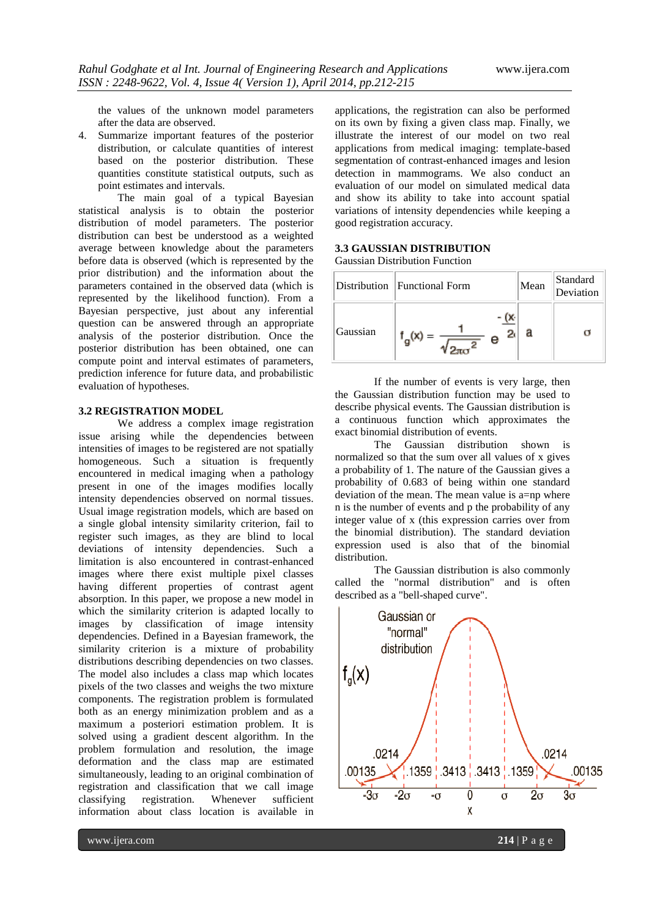the values of the unknown model parameters after the data are observed.

4. Summarize important features of the posterior distribution, or calculate quantities of interest based on the posterior distribution. These quantities constitute statistical outputs, such as point estimates and intervals.

The main goal of a typical Bayesian statistical analysis is to obtain the posterior distribution of model parameters. The posterior distribution can best be understood as a weighted average between knowledge about the parameters before data is observed (which is represented by the prior distribution) and the information about the parameters contained in the observed data (which is represented by the likelihood function). From a Bayesian perspective, just about any inferential question can be answered through an appropriate analysis of the posterior distribution. Once the posterior distribution has been obtained, one can compute point and interval estimates of parameters, prediction inference for future data, and probabilistic evaluation of hypotheses.

## **3.2 REGISTRATION MODEL**

We address a complex image registration issue arising while the dependencies between intensities of images to be registered are not spatially homogeneous. Such a situation is frequently encountered in medical imaging when a pathology present in one of the images modifies locally intensity dependencies observed on normal tissues. Usual image registration models, which are based on a single global intensity similarity criterion, fail to register such images, as they are blind to local deviations of intensity dependencies. Such a limitation is also encountered in contrast-enhanced images where there exist multiple pixel classes having different properties of contrast agent absorption. In this paper, we propose a new model in which the similarity criterion is adapted locally to images by classification of image intensity dependencies. Defined in a Bayesian framework, the similarity criterion is a mixture of probability distributions describing dependencies on two classes. The model also includes a class map which locates pixels of the two classes and weighs the two mixture components. The registration problem is formulated both as an energy minimization problem and as a maximum a posteriori estimation problem. It is solved using a gradient descent algorithm. In the problem formulation and resolution, the image deformation and the class map are estimated simultaneously, leading to an original combination of registration and classification that we call image classifying registration. Whenever sufficient information about class location is available in

applications, the registration can also be performed on its own by fixing a given class map. Finally, we illustrate the interest of our model on two real applications from medical imaging: template-based segmentation of contrast-enhanced images and lesion detection in mammograms. We also conduct an evaluation of our model on simulated medical data and show its ability to take into account spatial variations of intensity dependencies while keeping a good registration accuracy.

### **3.3 GAUSSIAN DISTRIBUTION**

Gaussian Distribution Function

|          | Distribution   Functional Form | Mean | Standard<br>Deviation |
|----------|--------------------------------|------|-----------------------|
| Gaussian |                                | a    |                       |

If the number of events is very large, then the Gaussian distribution function may be used to describe physical events. The Gaussian distribution is a continuous function which approximates the exact [binomial distribution](http://hyperphysics.phy-astr.gsu.edu/hbase/math/disfcn.html#c2) of events.

The Gaussian distribution shown is normalized so that the sum over all values of x gives a probability of 1. The nature of the Gaussian gives a probability of 0.683 of being within one standard deviation of the mean. The mean value is a=np where n is the number of events and p the probability of any integer value of x (this expression carries over from the binomial distribution). The standard deviation expression used is also that of the binomial distribution.

The Gaussian distribution is also commonly called the "normal distribution" and is often described as a "bell-shaped curve".